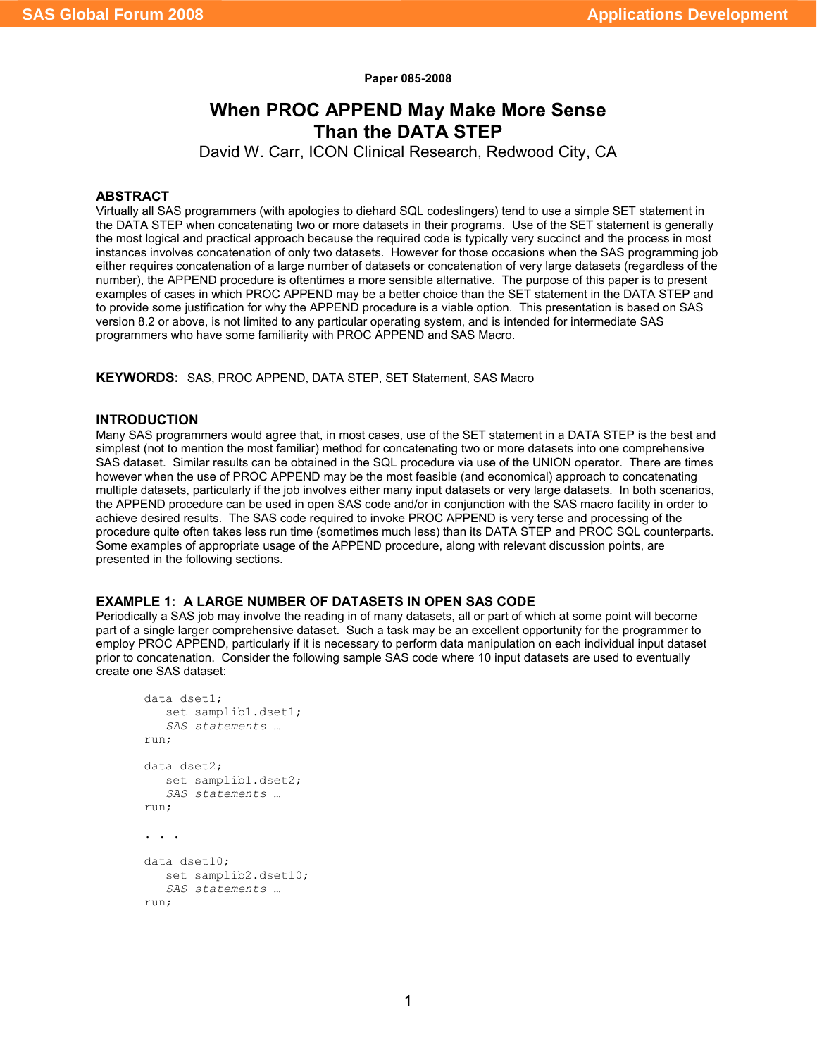**Paper 085-2008**

# **When PROC APPEND May Make More Sense Than the DATA STEP**

David W. Carr, ICON Clinical Research, Redwood City, CA

#### **ABSTRACT**

Virtually all SAS programmers (with apologies to diehard SQL codeslingers) tend to use a simple SET statement in the DATA STEP when concatenating two or more datasets in their programs. Use of the SET statement is generally the most logical and practical approach because the required code is typically very succinct and the process in most instances involves concatenation of only two datasets. However for those occasions when the SAS programming job either requires concatenation of a large number of datasets or concatenation of very large datasets (regardless of the number), the APPEND procedure is oftentimes a more sensible alternative. The purpose of this paper is to present examples of cases in which PROC APPEND may be a better choice than the SET statement in the DATA STEP and to provide some justification for why the APPEND procedure is a viable option. This presentation is based on SAS version 8.2 or above, is not limited to any particular operating system, and is intended for intermediate SAS programmers who have some familiarity with PROC APPEND and SAS Macro.

**KEYWORDS:** SAS, PROC APPEND, DATA STEP, SET Statement, SAS Macro

# **INTRODUCTION**

Many SAS programmers would agree that, in most cases, use of the SET statement in a DATA STEP is the best and simplest (not to mention the most familiar) method for concatenating two or more datasets into one comprehensive SAS dataset. Similar results can be obtained in the SQL procedure via use of the UNION operator. There are times however when the use of PROC APPEND may be the most feasible (and economical) approach to concatenating multiple datasets, particularly if the job involves either many input datasets or very large datasets. In both scenarios, the APPEND procedure can be used in open SAS code and/or in conjunction with the SAS macro facility in order to achieve desired results. The SAS code required to invoke PROC APPEND is very terse and processing of the procedure quite often takes less run time (sometimes much less) than its DATA STEP and PROC SQL counterparts. Some examples of appropriate usage of the APPEND procedure, along with relevant discussion points, are presented in the following sections.

### **EXAMPLE 1: A LARGE NUMBER OF DATASETS IN OPEN SAS CODE**

Periodically a SAS job may involve the reading in of many datasets, all or part of which at some point will become part of a single larger comprehensive dataset. Such a task may be an excellent opportunity for the programmer to employ PROC APPEND, particularly if it is necessary to perform data manipulation on each individual input dataset prior to concatenation. Consider the following sample SAS code where 10 input datasets are used to eventually create one SAS dataset:

```
data dset1;
   set samplib1.dset1;
   SAS statements …
run;
data dset2;
   set samplib1.dset2;
   SAS statements …
run;
. . .
data dset10;
  set samplib2.dset10;
   SAS statements …
run;
```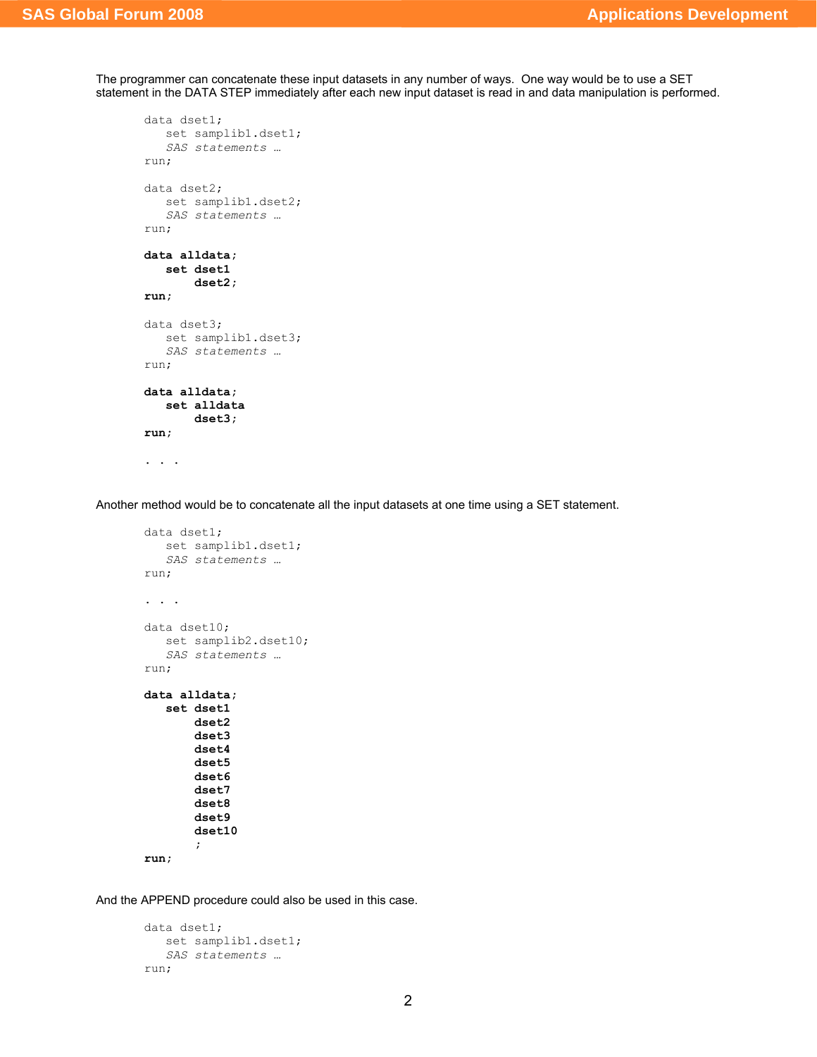The programmer can concatenate these input datasets in any number of ways. One way would be to use a SET statement in the DATA STEP immediately after each new input dataset is read in and data manipulation is performed.

```
data dset1;
  set samplib1.dset1;
   SAS statements …
run;
data dset2;
  set samplib1.dset2;
  SAS statements …
run;
data alldata;
  set dset1
       dset2;
run;
data dset3;
  set samplib1.dset3;
  SAS statements …
run;
data alldata;
   set alldata
       dset3;
run;
. . .
```
Another method would be to concatenate all the input datasets at one time using a SET statement.

```
data dset1;
  set samplib1.dset1;
  SAS statements …
run;
. . . .
data dset10;
  set samplib2.dset10;
  SAS statements …
run;
data alldata;
   set dset1
       dset2
       dset3
       dset4
       dset5
       dset6
       dset7
       dset8
       dset9
       dset10
       ;
run;
```
And the APPEND procedure could also be used in this case.

```
data dset1;
  set samplib1.dset1;
  SAS statements …
run;
```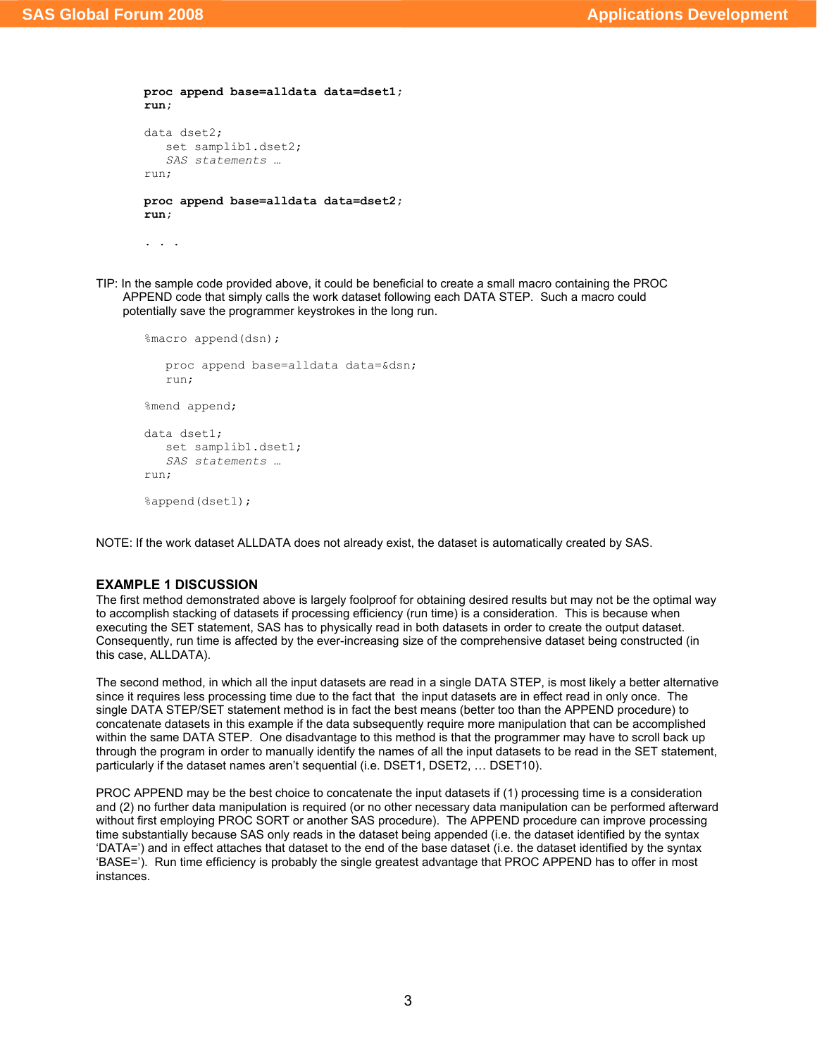```
proc append base=alldata data=dset1;
run;
data dset2;
   set samplib1.dset2;
   SAS statements …
run;
proc append base=alldata data=dset2;
run;
```
. . .

TIP: In the sample code provided above, it could be beneficial to create a small macro containing the PROC APPEND code that simply calls the work dataset following each DATA STEP. Such a macro could potentially save the programmer keystrokes in the long run.

```
%macro append(dsn);
  proc append base=alldata data=&dsn;
  run;
%mend append;
data dset1;
  set samplib1.dset1;
  SAS statements …
run;
%append(dset1);
```
NOTE: If the work dataset ALLDATA does not already exist, the dataset is automatically created by SAS.

### **EXAMPLE 1 DISCUSSION**

The first method demonstrated above is largely foolproof for obtaining desired results but may not be the optimal way to accomplish stacking of datasets if processing efficiency (run time) is a consideration. This is because when executing the SET statement, SAS has to physically read in both datasets in order to create the output dataset. Consequently, run time is affected by the ever-increasing size of the comprehensive dataset being constructed (in this case, ALLDATA).

The second method, in which all the input datasets are read in a single DATA STEP, is most likely a better alternative since it requires less processing time due to the fact that the input datasets are in effect read in only once. The single DATA STEP/SET statement method is in fact the best means (better too than the APPEND procedure) to concatenate datasets in this example if the data subsequently require more manipulation that can be accomplished within the same DATA STEP. One disadvantage to this method is that the programmer may have to scroll back up through the program in order to manually identify the names of all the input datasets to be read in the SET statement, particularly if the dataset names aren't sequential (i.e. DSET1, DSET2, … DSET10).

PROC APPEND may be the best choice to concatenate the input datasets if (1) processing time is a consideration and (2) no further data manipulation is required (or no other necessary data manipulation can be performed afterward without first employing PROC SORT or another SAS procedure). The APPEND procedure can improve processing time substantially because SAS only reads in the dataset being appended (i.e. the dataset identified by the syntax 'DATA=') and in effect attaches that dataset to the end of the base dataset (i.e. the dataset identified by the syntax 'BASE='). Run time efficiency is probably the single greatest advantage that PROC APPEND has to offer in most instances.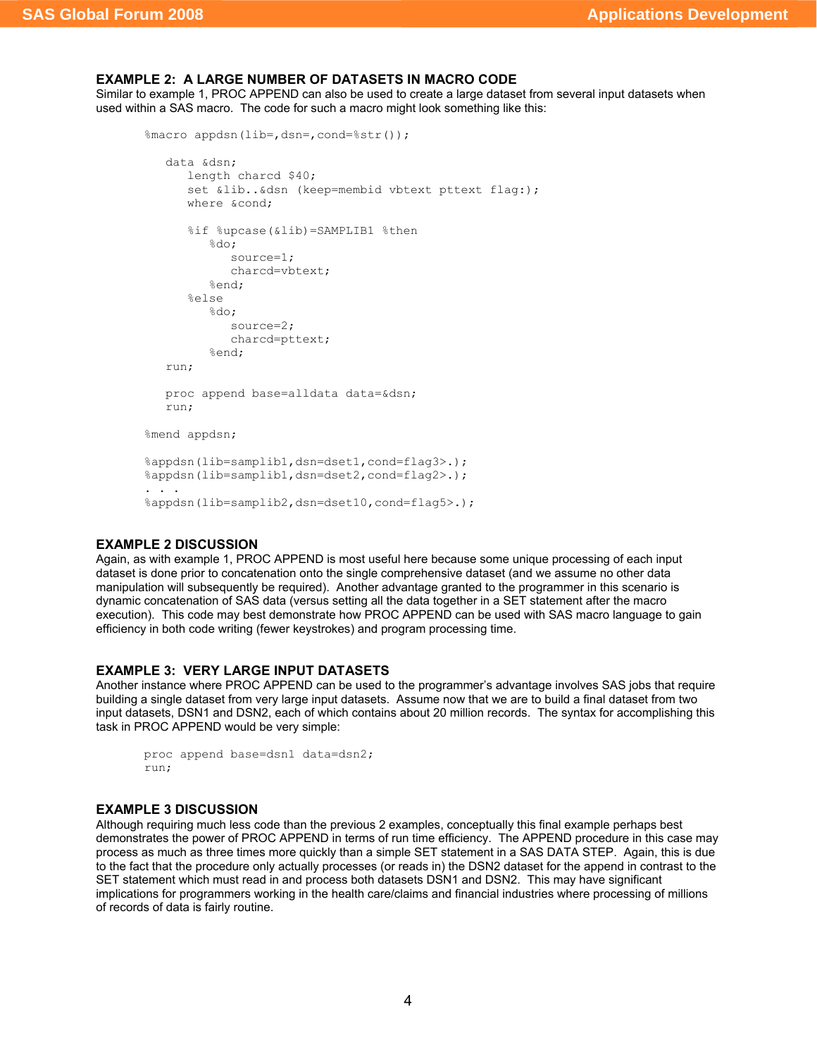# **EXAMPLE 2: A LARGE NUMBER OF DATASETS IN MACRO CODE**

Similar to example 1, PROC APPEND can also be used to create a large dataset from several input datasets when used within a SAS macro. The code for such a macro might look something like this:

```
%macro appdsn(lib=,dsn=,cond=%str());
   data &dsn;
      length charcd $40;
      set &lib..&dsn (keep=membid vbtext pttext flag:);
     where &cond;
      %if %upcase(&lib)=SAMPLIB1 %then
         %do;
            source=1;
            charcd=vbtext;
         %end;
      %else
         \& do:
            source=2;
            charcd=pttext; 
         %end;
   run;
   proc append base=alldata data=&dsn;
  run;
%mend appdsn;
%appdsn(lib=samplib1,dsn=dset1,cond=flag3>.);
%appdsn(lib=samplib1,dsn=dset2,cond=flag2>.);
. . .
%appdsn(lib=samplib2,dsn=dset10,cond=flag5>.);
```
# **EXAMPLE 2 DISCUSSION**

Again, as with example 1, PROC APPEND is most useful here because some unique processing of each input dataset is done prior to concatenation onto the single comprehensive dataset (and we assume no other data manipulation will subsequently be required). Another advantage granted to the programmer in this scenario is dynamic concatenation of SAS data (versus setting all the data together in a SET statement after the macro execution). This code may best demonstrate how PROC APPEND can be used with SAS macro language to gain efficiency in both code writing (fewer keystrokes) and program processing time.

## **EXAMPLE 3: VERY LARGE INPUT DATASETS**

Another instance where PROC APPEND can be used to the programmer's advantage involves SAS jobs that require building a single dataset from very large input datasets. Assume now that we are to build a final dataset from two input datasets, DSN1 and DSN2, each of which contains about 20 million records. The syntax for accomplishing this task in PROC APPEND would be very simple:

```
proc append base=dsn1 data=dsn2;
run;
```
### **EXAMPLE 3 DISCUSSION**

Although requiring much less code than the previous 2 examples, conceptually this final example perhaps best demonstrates the power of PROC APPEND in terms of run time efficiency. The APPEND procedure in this case may process as much as three times more quickly than a simple SET statement in a SAS DATA STEP. Again, this is due to the fact that the procedure only actually processes (or reads in) the DSN2 dataset for the append in contrast to the SET statement which must read in and process both datasets DSN1 and DSN2. This may have significant implications for programmers working in the health care/claims and financial industries where processing of millions of records of data is fairly routine.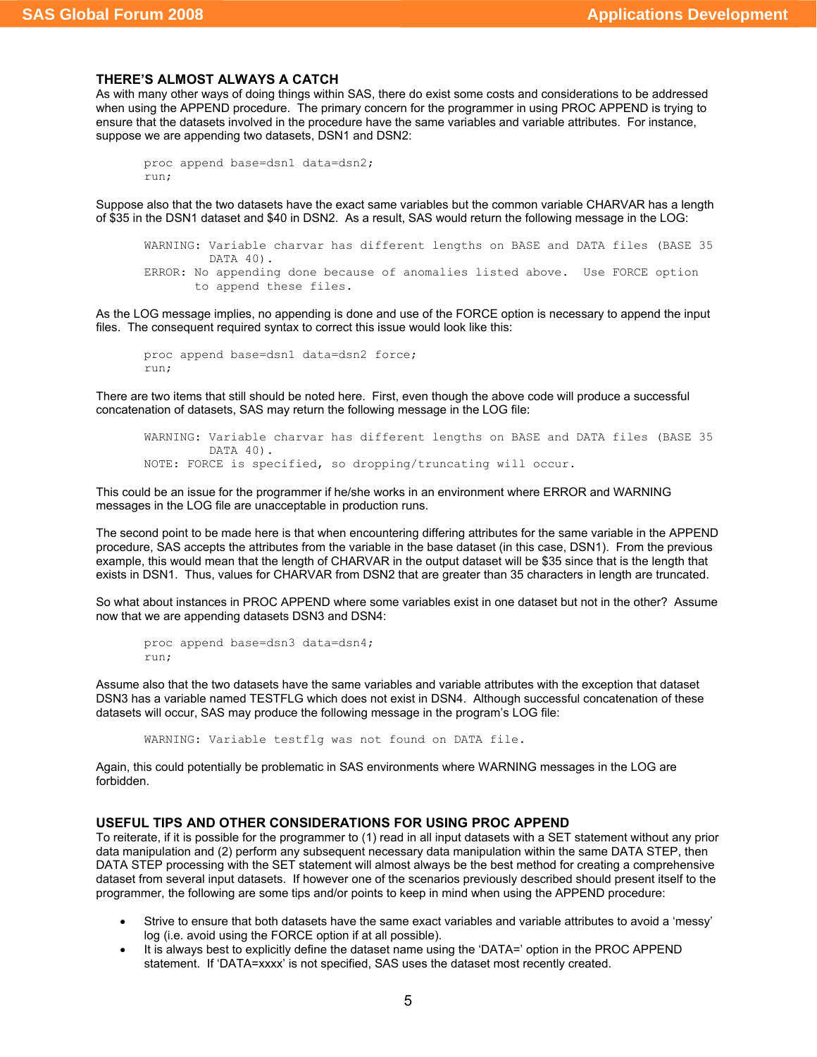#### **THERE'S ALMOST ALWAYS A CATCH**

As with many other ways of doing things within SAS, there do exist some costs and considerations to be addressed when using the APPEND procedure. The primary concern for the programmer in using PROC APPEND is trying to ensure that the datasets involved in the procedure have the same variables and variable attributes. For instance, suppose we are appending two datasets, DSN1 and DSN2:

```
proc append base=dsn1 data=dsn2;
run;
```
Suppose also that the two datasets have the exact same variables but the common variable CHARVAR has a length of \$35 in the DSN1 dataset and \$40 in DSN2. As a result, SAS would return the following message in the LOG:

```
WARNING: Variable charvar has different lengths on BASE and DATA files (BASE 35 
        DATA 40).
ERROR: No appending done because of anomalies listed above. Use FORCE option 
      to append these files.
```
As the LOG message implies, no appending is done and use of the FORCE option is necessary to append the input files. The consequent required syntax to correct this issue would look like this:

```
proc append base=dsn1 data=dsn2 force;
run;
```
There are two items that still should be noted here. First, even though the above code will produce a successful concatenation of datasets, SAS may return the following message in the LOG file:

```
WARNING: Variable charvar has different lengths on BASE and DATA files (BASE 35 
         DATA 40).
NOTE: FORCE is specified, so dropping/truncating will occur.
```
This could be an issue for the programmer if he/she works in an environment where ERROR and WARNING messages in the LOG file are unacceptable in production runs.

The second point to be made here is that when encountering differing attributes for the same variable in the APPEND procedure, SAS accepts the attributes from the variable in the base dataset (in this case, DSN1). From the previous example, this would mean that the length of CHARVAR in the output dataset will be \$35 since that is the length that exists in DSN1. Thus, values for CHARVAR from DSN2 that are greater than 35 characters in length are truncated.

So what about instances in PROC APPEND where some variables exist in one dataset but not in the other? Assume now that we are appending datasets DSN3 and DSN4:

```
proc append base=dsn3 data=dsn4;
run;
```
Assume also that the two datasets have the same variables and variable attributes with the exception that dataset DSN3 has a variable named TESTFLG which does not exist in DSN4. Although successful concatenation of these datasets will occur, SAS may produce the following message in the program's LOG file:

WARNING: Variable testflg was not found on DATA file.

Again, this could potentially be problematic in SAS environments where WARNING messages in the LOG are forbidden.

## **USEFUL TIPS AND OTHER CONSIDERATIONS FOR USING PROC APPEND**

To reiterate, if it is possible for the programmer to (1) read in all input datasets with a SET statement without any prior data manipulation and (2) perform any subsequent necessary data manipulation within the same DATA STEP, then DATA STEP processing with the SET statement will almost always be the best method for creating a comprehensive dataset from several input datasets. If however one of the scenarios previously described should present itself to the programmer, the following are some tips and/or points to keep in mind when using the APPEND procedure:

- Strive to ensure that both datasets have the same exact variables and variable attributes to avoid a 'messy' log (i.e. avoid using the FORCE option if at all possible).
- It is always best to explicitly define the dataset name using the 'DATA=' option in the PROC APPEND statement. If 'DATA=xxxx' is not specified, SAS uses the dataset most recently created.